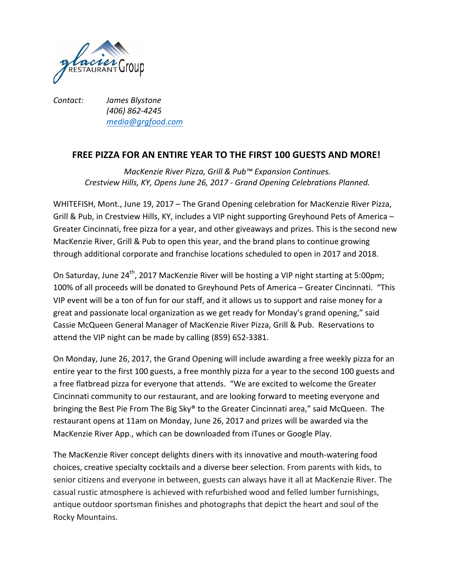

*Contact: James Blystone (406) 862-4245 media@grgfood.com*

## **FREE PIZZA FOR AN ENTIRE YEAR TO THE FIRST 100 GUESTS AND MORE!**

*MacKenzie River Pizza, Grill & Pub™ Expansion Continues. Crestview Hills, KY, Opens June 26, 2017 - Grand Opening Celebrations Planned.*

WHITEFISH, Mont., June 19, 2017 – The Grand Opening celebration for MacKenzie River Pizza, Grill & Pub, in Crestview Hills, KY, includes a VIP night supporting Greyhound Pets of America – Greater Cincinnati, free pizza for a year, and other giveaways and prizes. This is the second new MacKenzie River, Grill & Pub to open this year, and the brand plans to continue growing through additional corporate and franchise locations scheduled to open in 2017 and 2018.

On Saturday, June 24<sup>th</sup>, 2017 MacKenzie River will be hosting a VIP night starting at 5:00pm; 100% of all proceeds will be donated to Greyhound Pets of America – Greater Cincinnati. "This VIP event will be a ton of fun for our staff, and it allows us to support and raise money for a great and passionate local organization as we get ready for Monday's grand opening," said Cassie McQueen General Manager of MacKenzie River Pizza, Grill & Pub. Reservations to attend the VIP night can be made by calling (859) 652-3381.

On Monday, June 26, 2017, the Grand Opening will include awarding a free weekly pizza for an entire year to the first 100 guests, a free monthly pizza for a year to the second 100 guests and a free flatbread pizza for everyone that attends. "We are excited to welcome the Greater Cincinnati community to our restaurant, and are looking forward to meeting everyone and bringing the Best Pie From The Big Sky® to the Greater Cincinnati area," said McQueen. The restaurant opens at 11am on Monday, June 26, 2017 and prizes will be awarded via the MacKenzie River App., which can be downloaded from iTunes or Google Play.

The MacKenzie River concept delights diners with its innovative and mouth-watering food choices, creative specialty cocktails and a diverse beer selection. From parents with kids, to senior citizens and everyone in between, guests can always have it all at MacKenzie River. The casual rustic atmosphere is achieved with refurbished wood and felled lumber furnishings, antique outdoor sportsman finishes and photographs that depict the heart and soul of the Rocky Mountains.